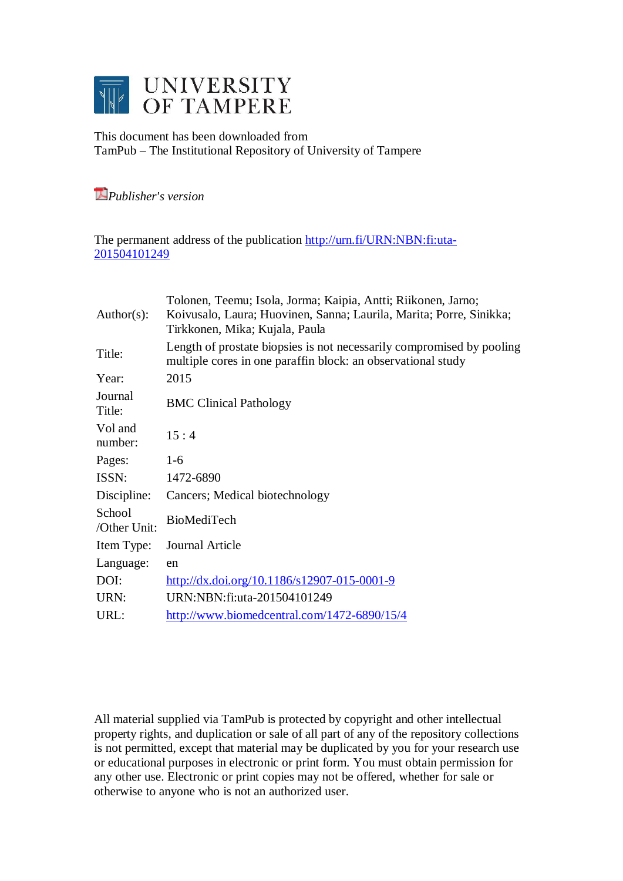

This document has been downloaded from TamPub – The Institutional Repository of University of Tampere

# *Publisher's version*

The permanent address of the publication [http://urn.fi/URN:NBN:fi:uta-](http://urn.fi/URN:NBN:fi:uta-201504101249)[201504101249](http://urn.fi/URN:NBN:fi:uta-201504101249)

| Author( $s$ ):         | Tolonen, Teemu; Isola, Jorma; Kaipia, Antti; Riikonen, Jarno;<br>Koivusalo, Laura; Huovinen, Sanna; Laurila, Marita; Porre, Sinikka;<br>Tirkkonen, Mika; Kujala, Paula |
|------------------------|------------------------------------------------------------------------------------------------------------------------------------------------------------------------|
| Title:                 | Length of prostate biopsies is not necessarily compromised by pooling<br>multiple cores in one paraffin block: an observational study                                  |
| Year:                  | 2015                                                                                                                                                                   |
| Journal<br>Title:      | <b>BMC Clinical Pathology</b>                                                                                                                                          |
| Vol and<br>number:     | 15:4                                                                                                                                                                   |
| Pages:                 | $1-6$                                                                                                                                                                  |
| ISSN:                  | 1472-6890                                                                                                                                                              |
| Discipline:            | Cancers; Medical biotechnology                                                                                                                                         |
| School<br>/Other Unit: | BioMediTech                                                                                                                                                            |
| Item Type:             | Journal Article                                                                                                                                                        |
| Language:              | en                                                                                                                                                                     |
| DOI:                   | $\frac{http://dx.doi.org/10.1186/s12907-015-0001-9}{http://dx.doi.org/10.1186/s12907-015-0001-9}$                                                                      |
| URN:                   | URN:NBN:fi:uta-201504101249                                                                                                                                            |
| URL:                   | http://www.biomedcentral.com/1472-6890/15/4                                                                                                                            |

All material supplied via TamPub is protected by copyright and other intellectual property rights, and duplication or sale of all part of any of the repository collections is not permitted, except that material may be duplicated by you for your research use or educational purposes in electronic or print form. You must obtain permission for any other use. Electronic or print copies may not be offered, whether for sale or otherwise to anyone who is not an authorized user.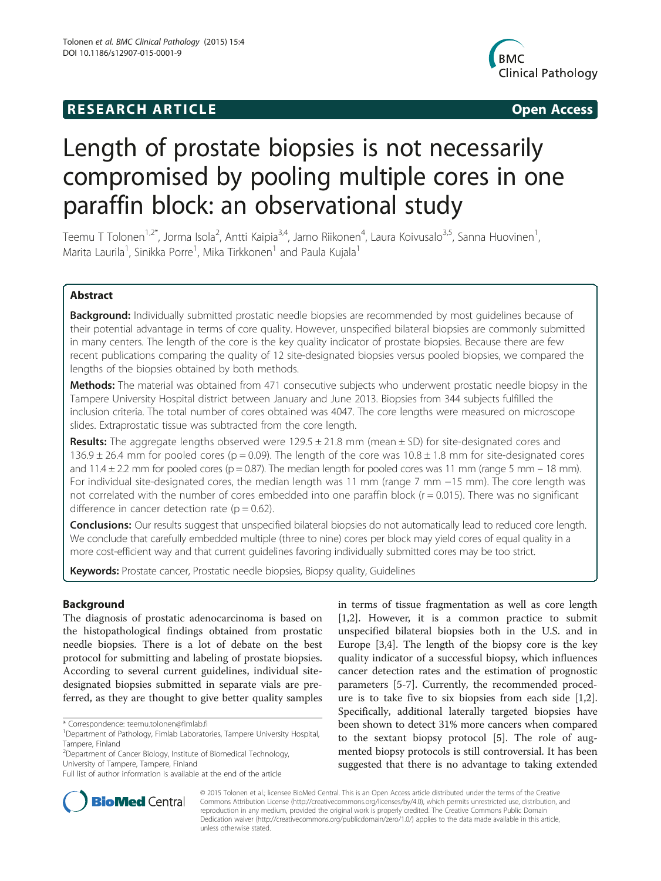# **RESEARCH ARTICLE Example 2014 12:30 The SEAR CHA RTICLE**



# Length of prostate biopsies is not necessarily compromised by pooling multiple cores in one paraffin block: an observational study

Teemu T Tolonen<sup>1,2\*</sup>, Jorma Isola<sup>2</sup>, Antti Kaipia<sup>3,4</sup>, Jarno Riikonen<sup>4</sup>, Laura Koivusalo<sup>3,5</sup>, Sanna Huovinen<sup>1</sup> , Marita Laurila<sup>1</sup>, Sinikka Porre<sup>1</sup>, Mika Tirkkonen<sup>1</sup> and Paula Kujala<sup>1</sup>

# Abstract

**Background:** Individually submitted prostatic needle biopsies are recommended by most quidelines because of their potential advantage in terms of core quality. However, unspecified bilateral biopsies are commonly submitted in many centers. The length of the core is the key quality indicator of prostate biopsies. Because there are few recent publications comparing the quality of 12 site-designated biopsies versus pooled biopsies, we compared the lengths of the biopsies obtained by both methods.

Methods: The material was obtained from 471 consecutive subjects who underwent prostatic needle biopsy in the Tampere University Hospital district between January and June 2013. Biopsies from 344 subjects fulfilled the inclusion criteria. The total number of cores obtained was 4047. The core lengths were measured on microscope slides. Extraprostatic tissue was subtracted from the core length.

**Results:** The aggregate lengths observed were  $129.5 \pm 21.8$  mm (mean  $\pm$  SD) for site-designated cores and  $136.9 \pm 26.4$  mm for pooled cores (p = 0.09). The length of the core was  $10.8 \pm 1.8$  mm for site-designated cores and  $11.4 \pm 2.2$  mm for pooled cores (p = 0.87). The median length for pooled cores was 11 mm (range 5 mm – 18 mm). For individual site-designated cores, the median length was 11 mm (range 7 mm −15 mm). The core length was not correlated with the number of cores embedded into one paraffin block  $(r = 0.015)$ . There was no significant difference in cancer detection rate ( $p = 0.62$ ).

**Conclusions:** Our results suggest that unspecified bilateral biopsies do not automatically lead to reduced core length. We conclude that carefully embedded multiple (three to nine) cores per block may yield cores of equal quality in a more cost-efficient way and that current guidelines favoring individually submitted cores may be too strict.

Keywords: Prostate cancer, Prostatic needle biopsies, Biopsy quality, Guidelines

# Background

The diagnosis of prostatic adenocarcinoma is based on the histopathological findings obtained from prostatic needle biopsies. There is a lot of debate on the best protocol for submitting and labeling of prostate biopsies. According to several current guidelines, individual sitedesignated biopsies submitted in separate vials are preferred, as they are thought to give better quality samples

in terms of tissue fragmentation as well as core length [[1,2\]](#page-6-0). However, it is a common practice to submit unspecified bilateral biopsies both in the U.S. and in Europe [[3,4\]](#page-6-0). The length of the biopsy core is the key quality indicator of a successful biopsy, which influences cancer detection rates and the estimation of prognostic parameters [[5-7\]](#page-6-0). Currently, the recommended procedure is to take five to six biopsies from each side [\[1,2](#page-6-0)]. Specifically, additional laterally targeted biopsies have been shown to detect 31% more cancers when compared to the sextant biopsy protocol [\[5](#page-6-0)]. The role of augmented biopsy protocols is still controversial. It has been suggested that there is no advantage to taking extended



© 2015 Tolonen et al.; licensee BioMed Central. This is an Open Access article distributed under the terms of the Creative Commons Attribution License [\(http://creativecommons.org/licenses/by/4.0\)](http://creativecommons.org/licenses/by/4.0), which permits unrestricted use, distribution, and reproduction in any medium, provided the original work is properly credited. The Creative Commons Public Domain Dedication waiver [\(http://creativecommons.org/publicdomain/zero/1.0/](http://creativecommons.org/publicdomain/zero/1.0/)) applies to the data made available in this article, unless otherwise stated.

<sup>\*</sup> Correspondence: [teemu.tolonen@fimlab.fi](mailto:teemu.tolonen@fimlab.fi) <sup>1</sup>

<sup>&</sup>lt;sup>1</sup>Department of Pathology, Fimlab Laboratories, Tampere University Hospital, Tampere, Finland

<sup>&</sup>lt;sup>2</sup> Department of Cancer Biology, Institute of Biomedical Technology, University of Tampere, Tampere, Finland

Full list of author information is available at the end of the article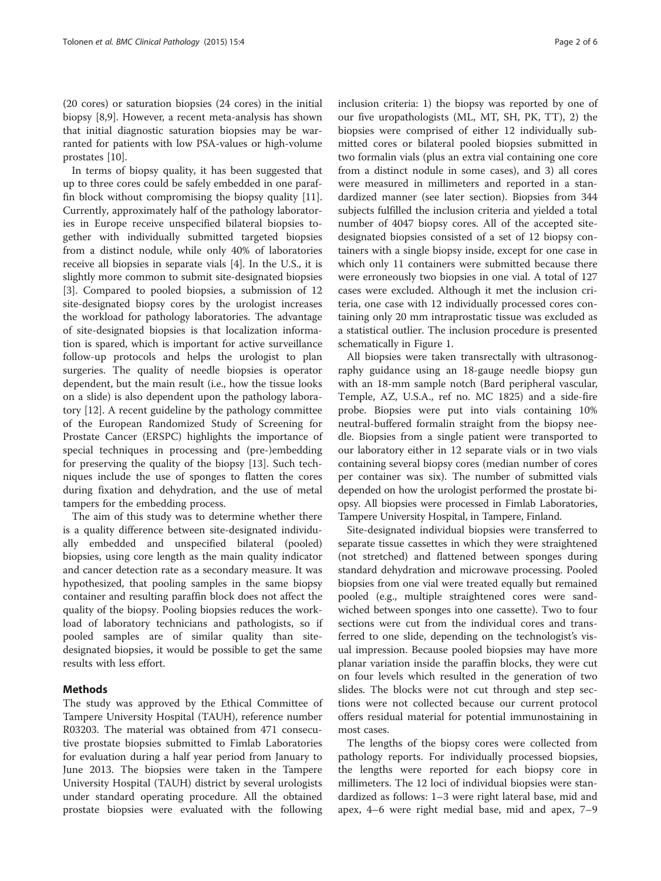(20 cores) or saturation biopsies (24 cores) in the initial biopsy [\[8](#page-6-0),[9](#page-6-0)]. However, a recent meta-analysis has shown that initial diagnostic saturation biopsies may be warranted for patients with low PSA-values or high-volume prostates [\[10](#page-6-0)].

In terms of biopsy quality, it has been suggested that up to three cores could be safely embedded in one paraffin block without compromising the biopsy quality [\[11](#page-6-0)]. Currently, approximately half of the pathology laboratories in Europe receive unspecified bilateral biopsies together with individually submitted targeted biopsies from a distinct nodule, while only 40% of laboratories receive all biopsies in separate vials [[4](#page-6-0)]. In the U.S., it is slightly more common to submit site-designated biopsies [[3\]](#page-6-0). Compared to pooled biopsies, a submission of 12 site-designated biopsy cores by the urologist increases the workload for pathology laboratories. The advantage of site-designated biopsies is that localization information is spared, which is important for active surveillance follow-up protocols and helps the urologist to plan surgeries. The quality of needle biopsies is operator dependent, but the main result (i.e., how the tissue looks on a slide) is also dependent upon the pathology laboratory [\[12\]](#page-6-0). A recent guideline by the pathology committee of the European Randomized Study of Screening for Prostate Cancer (ERSPC) highlights the importance of special techniques in processing and (pre-)embedding for preserving the quality of the biopsy [\[13\]](#page-6-0). Such techniques include the use of sponges to flatten the cores during fixation and dehydration, and the use of metal tampers for the embedding process.

The aim of this study was to determine whether there is a quality difference between site-designated individually embedded and unspecified bilateral (pooled) biopsies, using core length as the main quality indicator and cancer detection rate as a secondary measure. It was hypothesized, that pooling samples in the same biopsy container and resulting paraffin block does not affect the quality of the biopsy. Pooling biopsies reduces the workload of laboratory technicians and pathologists, so if pooled samples are of similar quality than sitedesignated biopsies, it would be possible to get the same results with less effort.

## Methods

The study was approved by the Ethical Committee of Tampere University Hospital (TAUH), reference number R03203. The material was obtained from 471 consecutive prostate biopsies submitted to Fimlab Laboratories for evaluation during a half year period from January to June 2013. The biopsies were taken in the Tampere University Hospital (TAUH) district by several urologists under standard operating procedure. All the obtained prostate biopsies were evaluated with the following inclusion criteria: 1) the biopsy was reported by one of our five uropathologists (ML, MT, SH, PK, TT), 2) the biopsies were comprised of either 12 individually submitted cores or bilateral pooled biopsies submitted in two formalin vials (plus an extra vial containing one core from a distinct nodule in some cases), and 3) all cores were measured in millimeters and reported in a standardized manner (see later section). Biopsies from 344 subjects fulfilled the inclusion criteria and yielded a total number of 4047 biopsy cores. All of the accepted sitedesignated biopsies consisted of a set of 12 biopsy containers with a single biopsy inside, except for one case in which only 11 containers were submitted because there were erroneously two biopsies in one vial. A total of 127 cases were excluded. Although it met the inclusion criteria, one case with 12 individually processed cores containing only 20 mm intraprostatic tissue was excluded as a statistical outlier. The inclusion procedure is presented schematically in Figure [1.](#page-3-0)

All biopsies were taken transrectally with ultrasonography guidance using an 18-gauge needle biopsy gun with an 18-mm sample notch (Bard peripheral vascular, Temple, AZ, U.S.A., ref no. MC 1825) and a side-fire probe. Biopsies were put into vials containing 10% neutral-buffered formalin straight from the biopsy needle. Biopsies from a single patient were transported to our laboratory either in 12 separate vials or in two vials containing several biopsy cores (median number of cores per container was six). The number of submitted vials depended on how the urologist performed the prostate biopsy. All biopsies were processed in Fimlab Laboratories, Tampere University Hospital, in Tampere, Finland.

Site-designated individual biopsies were transferred to separate tissue cassettes in which they were straightened (not stretched) and flattened between sponges during standard dehydration and microwave processing. Pooled biopsies from one vial were treated equally but remained pooled (e.g., multiple straightened cores were sandwiched between sponges into one cassette). Two to four sections were cut from the individual cores and transferred to one slide, depending on the technologist's visual impression. Because pooled biopsies may have more planar variation inside the paraffin blocks, they were cut on four levels which resulted in the generation of two slides. The blocks were not cut through and step sections were not collected because our current protocol offers residual material for potential immunostaining in most cases.

The lengths of the biopsy cores were collected from pathology reports. For individually processed biopsies, the lengths were reported for each biopsy core in millimeters. The 12 loci of individual biopsies were standardized as follows: 1–3 were right lateral base, mid and apex, 4–6 were right medial base, mid and apex, 7–9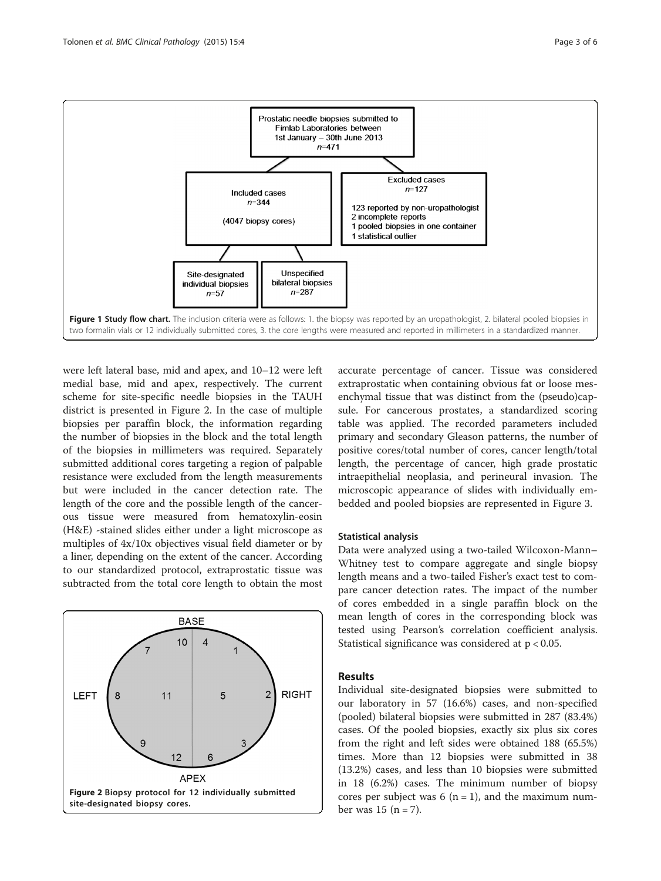<span id="page-3-0"></span>

were left lateral base, mid and apex, and 10–12 were left medial base, mid and apex, respectively. The current scheme for site-specific needle biopsies in the TAUH district is presented in Figure 2. In the case of multiple biopsies per paraffin block, the information regarding the number of biopsies in the block and the total length of the biopsies in millimeters was required. Separately submitted additional cores targeting a region of palpable resistance were excluded from the length measurements but were included in the cancer detection rate. The length of the core and the possible length of the cancerous tissue were measured from hematoxylin-eosin (H&E) -stained slides either under a light microscope as multiples of 4x/10x objectives visual field diameter or by a liner, depending on the extent of the cancer. According to our standardized protocol, extraprostatic tissue was subtracted from the total core length to obtain the most



accurate percentage of cancer. Tissue was considered extraprostatic when containing obvious fat or loose mesenchymal tissue that was distinct from the (pseudo)capsule. For cancerous prostates, a standardized scoring table was applied. The recorded parameters included primary and secondary Gleason patterns, the number of positive cores/total number of cores, cancer length/total length, the percentage of cancer, high grade prostatic intraepithelial neoplasia, and perineural invasion. The microscopic appearance of slides with individually embedded and pooled biopsies are represented in Figure [3.](#page-4-0)

#### Statistical analysis

Data were analyzed using a two-tailed Wilcoxon-Mann– Whitney test to compare aggregate and single biopsy length means and a two-tailed Fisher's exact test to compare cancer detection rates. The impact of the number of cores embedded in a single paraffin block on the mean length of cores in the corresponding block was tested using Pearson's correlation coefficient analysis. Statistical significance was considered at p < 0.05.

## Results

Individual site-designated biopsies were submitted to our laboratory in 57 (16.6%) cases, and non-specified (pooled) bilateral biopsies were submitted in 287 (83.4%) cases. Of the pooled biopsies, exactly six plus six cores from the right and left sides were obtained 188 (65.5%) times. More than 12 biopsies were submitted in 38 (13.2%) cases, and less than 10 biopsies were submitted in 18 (6.2%) cases. The minimum number of biopsy cores per subject was  $6$  (n = 1), and the maximum number was  $15$  (n = 7).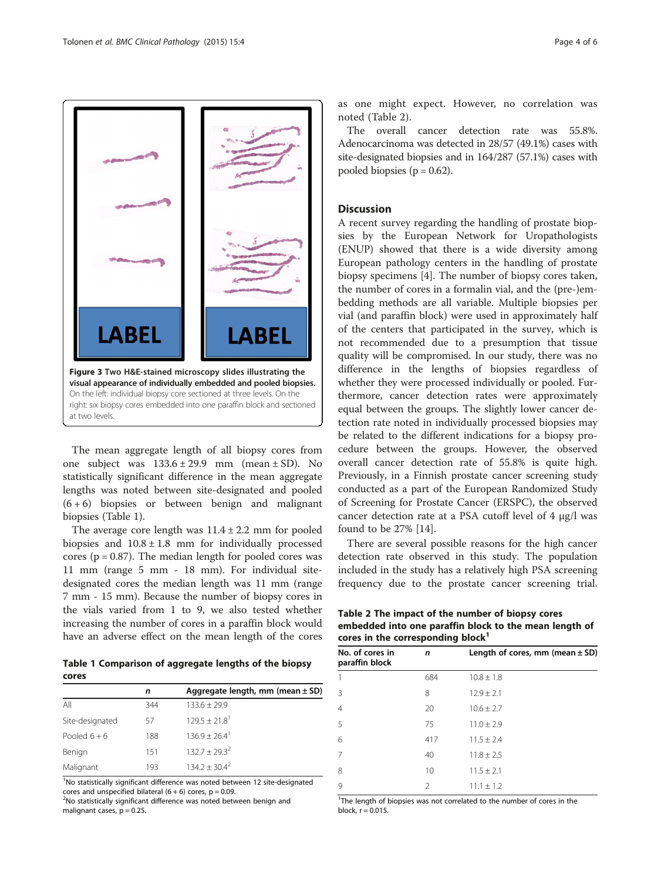<span id="page-4-0"></span>

The mean aggregate length of all biopsy cores from one subject was  $133.6 \pm 29.9$  mm (mean  $\pm$  SD). No statistically significant difference in the mean aggregate lengths was noted between site-designated and pooled  $(6 + 6)$  biopsies or between benign and malignant biopsies (Table 1).

The average core length was  $11.4 \pm 2.2$  mm for pooled biopsies and  $10.8 \pm 1.8$  mm for individually processed cores ( $p = 0.87$ ). The median length for pooled cores was 11 mm (range 5 mm - 18 mm). For individual sitedesignated cores the median length was 11 mm (range 7 mm - 15 mm). Because the number of biopsy cores in the vials varied from 1 to 9, we also tested whether increasing the number of cores in a paraffin block would have an adverse effect on the mean length of the cores

Table 1 Comparison of aggregate lengths of the biopsy cores

|                 | n   | Aggregate length, mm (mean $\pm$ SD) |
|-----------------|-----|--------------------------------------|
| All             | 344 | $133.6 + 29.9$                       |
| Site-designated | 57  | $129.5 + 21.8$ <sup>1</sup>          |
| Pooled $6+6$    | 188 | $136.9 + 26.4$ <sup>1</sup>          |
| Benign          | 151 | $132.7 + 29.3^2$                     |
| Malignant       | 193 | $1342 + 304^2$                       |

<sup>1</sup>No statistically significant difference was noted between 12 site-designated cores and unspecified bilateral  $(6 + 6)$  cores,  $p = 0.09$ .

 $2$ No statistically significant difference was noted between benign and malignant cases,  $p = 0.25$ .

as one might expect. However, no correlation was noted (Table 2).

The overall cancer detection rate was 55.8%. Adenocarcinoma was detected in 28/57 (49.1%) cases with site-designated biopsies and in 164/287 (57.1%) cases with pooled biopsies ( $p = 0.62$ ).

#### **Discussion**

A recent survey regarding the handling of prostate biopsies by the European Network for Uropathologists (ENUP) showed that there is a wide diversity among European pathology centers in the handling of prostate biopsy specimens [\[4](#page-6-0)]. The number of biopsy cores taken, the number of cores in a formalin vial, and the (pre-)embedding methods are all variable. Multiple biopsies per vial (and paraffin block) were used in approximately half of the centers that participated in the survey, which is not recommended due to a presumption that tissue quality will be compromised. In our study, there was no difference in the lengths of biopsies regardless of whether they were processed individually or pooled. Furthermore, cancer detection rates were approximately equal between the groups. The slightly lower cancer detection rate noted in individually processed biopsies may be related to the different indications for a biopsy procedure between the groups. However, the observed overall cancer detection rate of 55.8% is quite high. Previously, in a Finnish prostate cancer screening study conducted as a part of the European Randomized Study of Screening for Prostate Cancer (ERSPC), the observed cancer detection rate at a PSA cutoff level of 4 μg/l was found to be 27% [\[14\]](#page-6-0).

There are several possible reasons for the high cancer detection rate observed in this study. The population included in the study has a relatively high PSA screening frequency due to the prostate cancer screening trial.

| Table 2 The impact of the number of biopsy cores       |
|--------------------------------------------------------|
| embedded into one paraffin block to the mean length of |
| cores in the corresponding block <sup>1</sup>          |

| cores in the corresponding block  |     |                                     |  |  |
|-----------------------------------|-----|-------------------------------------|--|--|
| No. of cores in<br>paraffin block | n   | Length of cores, mm (mean $\pm$ SD) |  |  |
|                                   | 684 | $10.8 \pm 1.8$                      |  |  |
| 3                                 | 8   | $12.9 \pm 2.1$                      |  |  |
| $\overline{4}$                    | 20  | $10.6 \pm 2.7$                      |  |  |
| -5                                | 75  | $11.0 \pm 2.9$                      |  |  |
| 6                                 | 417 | $11.5 \pm 2.4$                      |  |  |
| 7                                 | 40  | $11.8 \pm 2.5$                      |  |  |
| 8                                 | 10  | $11.5 \pm 2.1$                      |  |  |
| $\mathsf{Q}$                      | 2   | $11.1 \pm 1.2$                      |  |  |

<sup>1</sup>The length of biopsies was not correlated to the number of cores in the block,  $r = 0.015$ .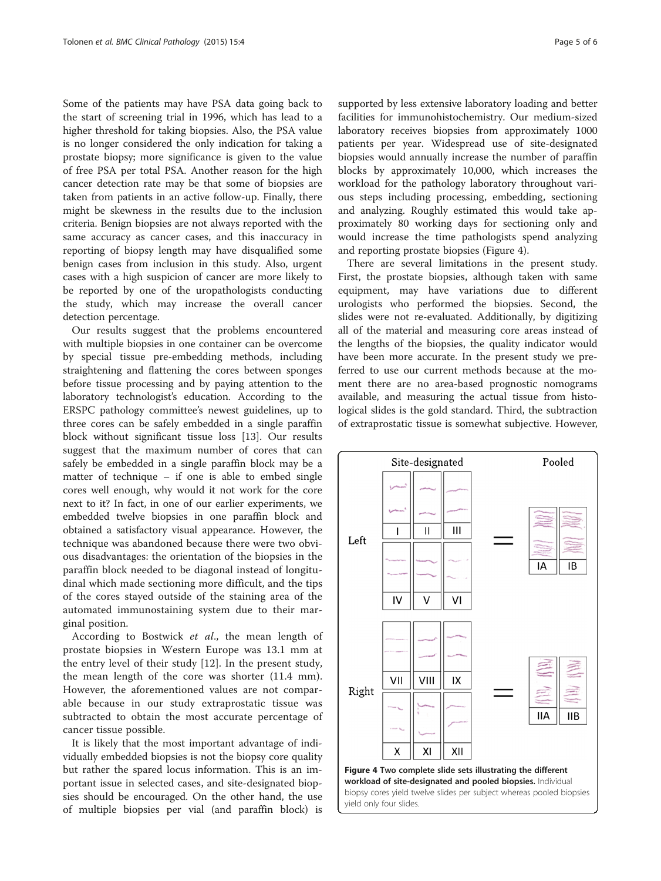Some of the patients may have PSA data going back to the start of screening trial in 1996, which has lead to a higher threshold for taking biopsies. Also, the PSA value is no longer considered the only indication for taking a prostate biopsy; more significance is given to the value of free PSA per total PSA. Another reason for the high cancer detection rate may be that some of biopsies are taken from patients in an active follow-up. Finally, there might be skewness in the results due to the inclusion criteria. Benign biopsies are not always reported with the same accuracy as cancer cases, and this inaccuracy in reporting of biopsy length may have disqualified some benign cases from inclusion in this study. Also, urgent cases with a high suspicion of cancer are more likely to be reported by one of the uropathologists conducting the study, which may increase the overall cancer detection percentage.

Our results suggest that the problems encountered with multiple biopsies in one container can be overcome by special tissue pre-embedding methods, including straightening and flattening the cores between sponges before tissue processing and by paying attention to the laboratory technologist's education. According to the ERSPC pathology committee's newest guidelines, up to three cores can be safely embedded in a single paraffin block without significant tissue loss [[13\]](#page-6-0). Our results suggest that the maximum number of cores that can safely be embedded in a single paraffin block may be a matter of technique – if one is able to embed single cores well enough, why would it not work for the core next to it? In fact, in one of our earlier experiments, we embedded twelve biopsies in one paraffin block and obtained a satisfactory visual appearance. However, the technique was abandoned because there were two obvious disadvantages: the orientation of the biopsies in the paraffin block needed to be diagonal instead of longitudinal which made sectioning more difficult, and the tips of the cores stayed outside of the staining area of the automated immunostaining system due to their marginal position.

According to Bostwick et al., the mean length of prostate biopsies in Western Europe was 13.1 mm at the entry level of their study [[12](#page-6-0)]. In the present study, the mean length of the core was shorter (11.4 mm). However, the aforementioned values are not comparable because in our study extraprostatic tissue was subtracted to obtain the most accurate percentage of cancer tissue possible.

It is likely that the most important advantage of individually embedded biopsies is not the biopsy core quality but rather the spared locus information. This is an important issue in selected cases, and site-designated biopsies should be encouraged. On the other hand, the use of multiple biopsies per vial (and paraffin block) is

supported by less extensive laboratory loading and better facilities for immunohistochemistry. Our medium-sized laboratory receives biopsies from approximately 1000 patients per year. Widespread use of site-designated biopsies would annually increase the number of paraffin blocks by approximately 10,000, which increases the workload for the pathology laboratory throughout various steps including processing, embedding, sectioning and analyzing. Roughly estimated this would take approximately 80 working days for sectioning only and would increase the time pathologists spend analyzing and reporting prostate biopsies (Figure 4).

There are several limitations in the present study. First, the prostate biopsies, although taken with same equipment, may have variations due to different urologists who performed the biopsies. Second, the slides were not re-evaluated. Additionally, by digitizing all of the material and measuring core areas instead of the lengths of the biopsies, the quality indicator would have been more accurate. In the present study we preferred to use our current methods because at the moment there are no area-based prognostic nomograms available, and measuring the actual tissue from histological slides is the gold standard. Third, the subtraction of extraprostatic tissue is somewhat subjective. However,